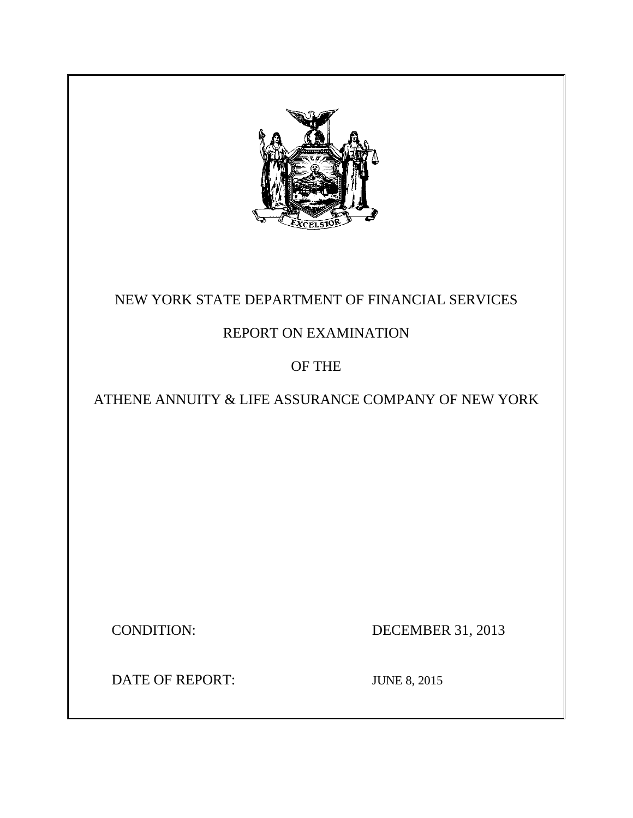

# NEW YORK STATE DEPARTMENT OF FINANCIAL SERVICES

# REPORT ON EXAMINATION

# OF THE

# ATHENE ANNUITY & LIFE ASSURANCE COMPANY OF NEW YORK

**CONDITION:** 

DECEMBER 31, 2013

DATE OF REPORT: JUNE 8, 2015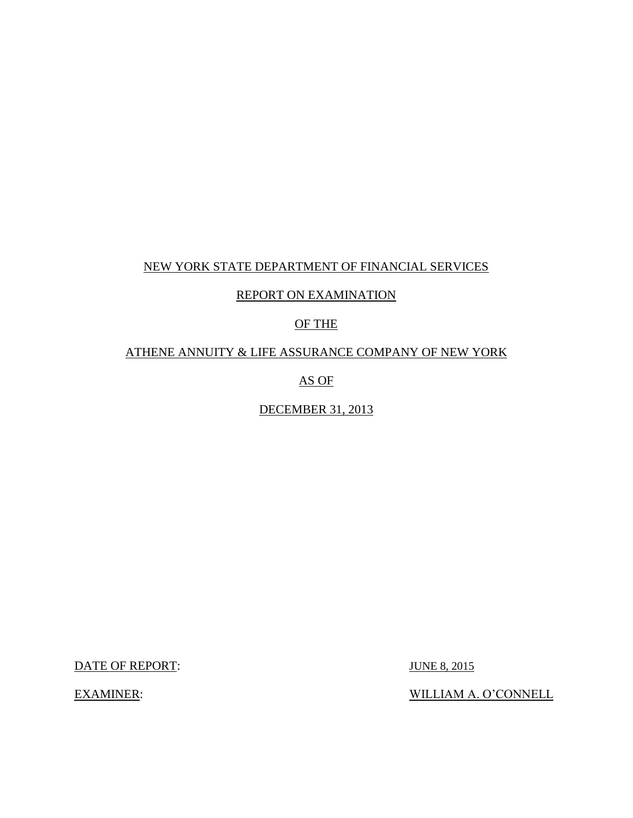## NEW YORK STATE DEPARTMENT OF FINANCIAL SERVICES

# REPORT ON EXAMINATION

# OF THE

## ATHENE ANNUITY & LIFE ASSURANCE COMPANY OF NEW YORK

AS OF

## DECEMBER 31, 2013

DATE OF REPORT: JUNE 8, 2015

**EXAMINER:** 

WILLIAM A. O'CONNELL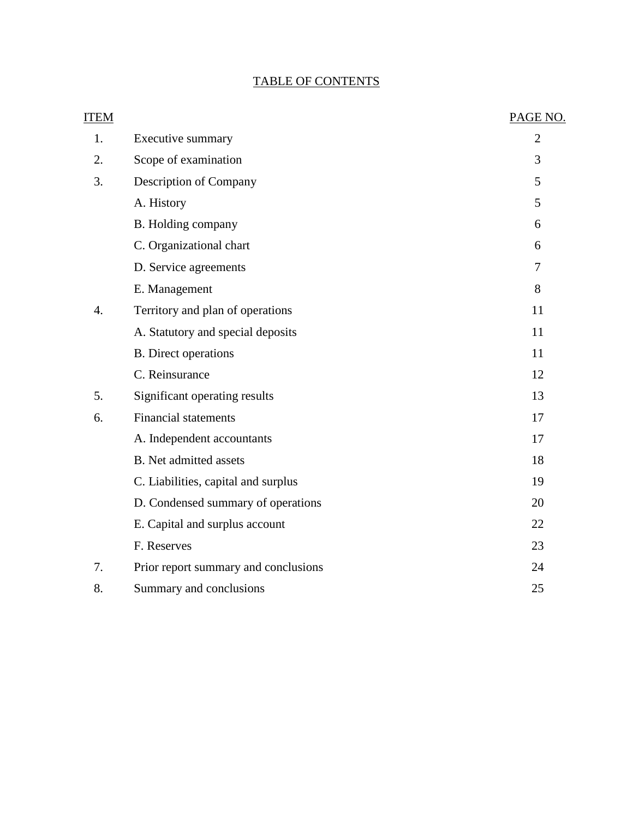# TABLE OF CONTENTS

| <b>ITEM</b> |                                      | PAGE NO.       |
|-------------|--------------------------------------|----------------|
| 1.          | <b>Executive summary</b>             | $\overline{2}$ |
| 2.          | Scope of examination                 | 3              |
| 3.          | Description of Company               | 5              |
|             | A. History                           | 5              |
|             | B. Holding company                   | 6              |
|             | C. Organizational chart              | 6              |
|             | D. Service agreements                | 7              |
|             | E. Management                        | 8              |
| 4.          | Territory and plan of operations     | 11             |
|             | A. Statutory and special deposits    | 11             |
|             | <b>B.</b> Direct operations          | 11             |
|             | C. Reinsurance                       | 12             |
| 5.          | Significant operating results        | 13             |
| 6.          | <b>Financial statements</b>          | 17             |
|             | A. Independent accountants           | 17             |
|             | <b>B.</b> Net admitted assets        | 18             |
|             | C. Liabilities, capital and surplus  | 19             |
|             | D. Condensed summary of operations   | 20             |
|             | E. Capital and surplus account       | 22             |
|             | F. Reserves                          | 23             |
| 7.          | Prior report summary and conclusions | 24             |
| 8.          | Summary and conclusions              | 25             |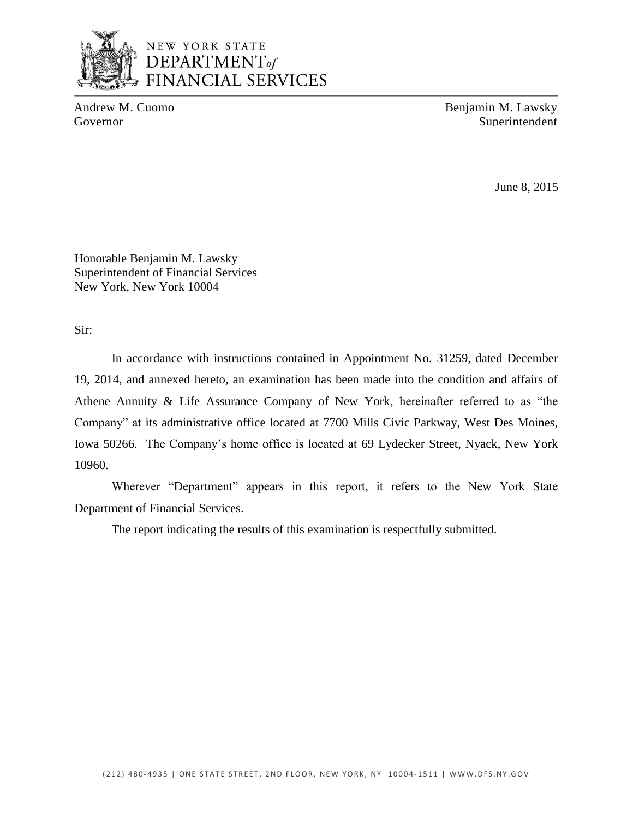

# NEW YORK STATE DEPARTMENT<sub>of</sub> FINANCIAL SERVICES

Andrew M. Cuomo Benjamin M. Lawsky Governor Superintendent Superintendent

June 8, 2015

Honorable Benjamin M. Lawsky Superintendent of Financial Services New York, New York 10004

Sir:

 19, 2014, and annexed hereto, an examination has been made into the condition and affairs of Athene Annuity & Life Assurance Company of New York, hereinafter referred to as "the Company" at its administrative office located at 7700 Mills Civic Parkway, West Des Moines, Iowa 50266. The Company's home office is located at 69 Lydecker Street, Nyack, New York In accordance with instructions contained in Appointment No. 31259, dated December 10960.

Wherever "Department" appears in this report, it refers to the New York State Department of Financial Services.

The report indicating the results of this examination is respectfully submitted.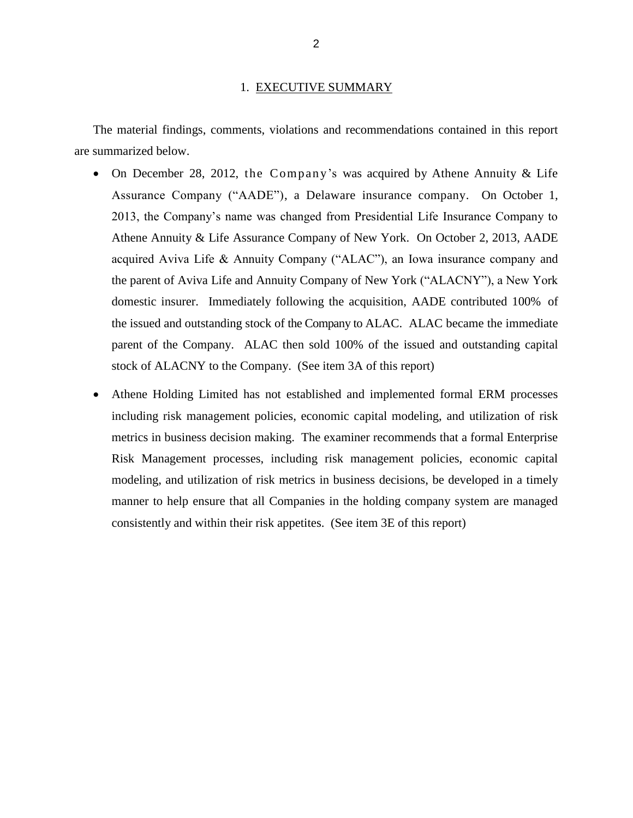#### 1. EXECUTIVE SUMMARY

<span id="page-4-0"></span>The material findings, comments, violations and recommendations contained in this report are summarized below.

- On December 28, 2012, the Company's was acquired by Athene Annuity  $&$  Life Assurance Company ("AADE"), a Delaware insurance company. On October 1, 2013, the Company's name was changed from Presidential Life Insurance Company to Athene Annuity & Life Assurance Company of New York. On October 2, 2013, AADE acquired Aviva Life & Annuity Company ("ALAC"), an Iowa insurance company and the parent of Aviva Life and Annuity Company of New York ("ALACNY"), a New York domestic insurer. Immediately following the acquisition, AADE contributed 100% of the issued and outstanding stock of the Company to ALAC. ALAC became the immediate parent of the Company. ALAC then sold 100% of the issued and outstanding capital stock of ALACNY to the Company. (See item 3A of this report)
- Athene Holding Limited has not established and implemented formal ERM processes including risk management policies, economic capital modeling, and utilization of risk metrics in business decision making. The examiner recommends that a formal Enterprise Risk Management processes, including risk management policies, economic capital modeling, and utilization of risk metrics in business decisions, be developed in a timely manner to help ensure that all Companies in the holding company system are managed consistently and within their risk appetites. (See item 3E of this report)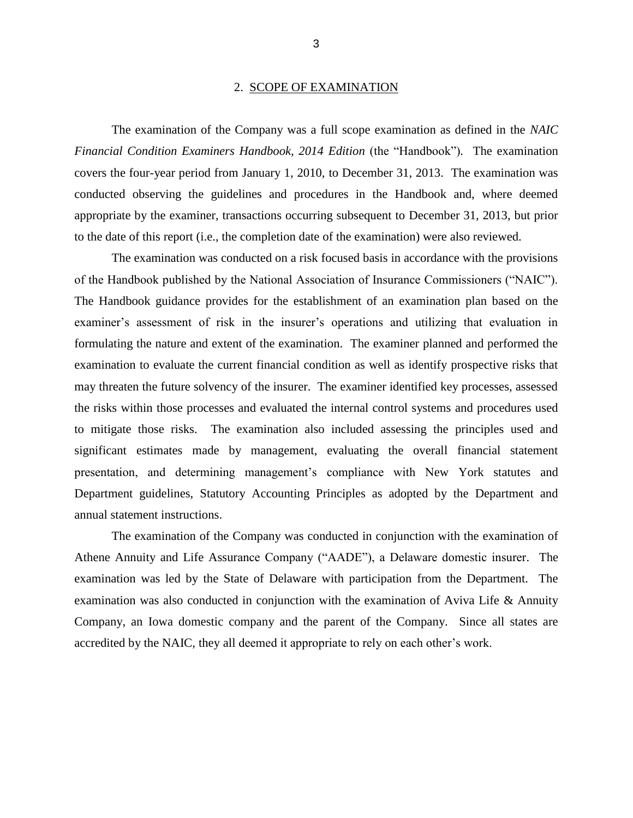#### 2. SCOPE OF EXAMINATION

<span id="page-5-0"></span>*Financial Condition Examiners Handbook, 2014 Edition* (the "Handbook"). The examination covers the four-year period from January 1, 2010, to December 31, 2013. The examination was conducted observing the guidelines and procedures in the Handbook and, where deemed appropriate by the examiner, transactions occurring subsequent to December 31, 2013, but prior The examination of the Company was a full scope examination as defined in the *NAIC*  to the date of this report (i.e., the completion date of the examination) were also reviewed.

 of the Handbook published by the National Association of Insurance Commissioners ("NAIC"). examiner's assessment of risk in the insurer's operations and utilizing that evaluation in formulating the nature and extent of the examination. The examiner planned and performed the examination to evaluate the current financial condition as well as identify prospective risks that may threaten the future solvency of the insurer. The examiner identified key processes, assessed to mitigate those risks. The examination also included assessing the principles used and significant estimates made by management, evaluating the overall financial statement Department guidelines, Statutory Accounting Principles as adopted by the Department and The examination was conducted on a risk focused basis in accordance with the provisions The Handbook guidance provides for the establishment of an examination plan based on the the risks within those processes and evaluated the internal control systems and procedures used presentation, and determining management's compliance with New York statutes and annual statement instructions.

 Athene Annuity and Life Assurance Company ("AADE"), a Delaware domestic insurer. The examination was led by the State of Delaware with participation from the Department. The examination was also conducted in conjunction with the examination of Aviva Life & Annuity Company, an Iowa domestic company and the parent of the Company. Since all states are accredited by the NAIC, they all deemed it appropriate to rely on each other's work.The examination of the Company was conducted in conjunction with the examination of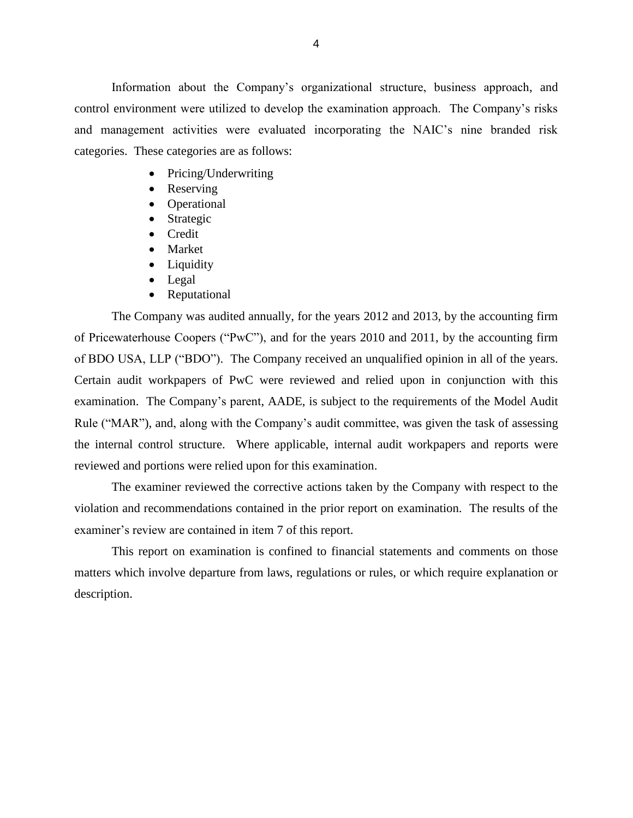Information about the Company's organizational structure, business approach, and control environment were utilized to develop the examination approach. The Company's risks and management activities were evaluated incorporating the NAIC's nine branded risk categories. These categories are as follows:

- Pricing/Underwriting
- Reserving
- Operational
- Strategic
- Credit
- Market
- Liquidity
- Legal
- Reputational

 of Pricewaterhouse Coopers ("PwC"), and for the years 2010 and 2011, by the accounting firm of BDO USA, LLP ("BDO"). The Company received an unqualified opinion in all of the years. Certain audit workpapers of PwC were reviewed and relied upon in conjunction with this examination. The Company's parent, AADE, is subject to the requirements of the Model Audit Rule ("MAR"), and, along with the Company's audit committee, was given the task of assessing the internal control structure. Where applicable, internal audit workpapers and reports were reviewed and portions were relied upon for this examination. The Company was audited annually, for the years 2012 and 2013, by the accounting firm

 violation and recommendations contained in the prior report on examination. The results of the examiner's review are contained in item 7 of this report. The examiner reviewed the corrective actions taken by the Company with respect to the

 matters which involve departure from laws, regulations or rules, or which require explanation or This report on examination is confined to financial statements and comments on those description.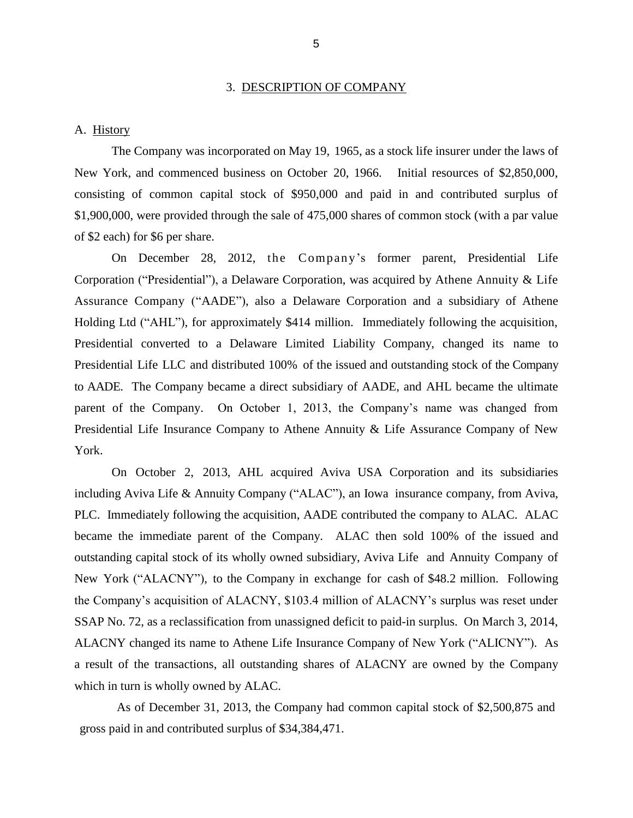#### 3. DESCRIPTION OF COMPANY

#### <span id="page-7-0"></span>A. History

 New York, and commenced business on October 20, 1966. Initial resources of \$2,850,000, consisting of common capital stock of \$950,000 and paid in and contributed surplus of \$1,900,000, were provided through the sale of 475,000 shares of common stock (with a par value The Company was incorporated on May 19, 1965, as a stock life insurer under the laws of of \$2 each) for \$6 per share.

 Corporation ("Presidential"), a Delaware Corporation, was acquired by Athene Annuity & Life Assurance Company ("AADE"), also a Delaware Corporation and a subsidiary of Athene Holding Ltd ("AHL"), for approximately \$414 million. Immediately following the acquisition, Presidential converted to a Delaware Limited Liability Company, changed its name to Presidential Life LLC and distributed 100% of the issued and outstanding stock of the Company to AADE. The Company became a direct subsidiary of AADE, and AHL became the ultimate parent of the Company. On October 1, 2013, the Company's name was changed from Presidential Life Insurance Company to Athene Annuity & Life Assurance Company of New On December 28, 2012, the Compan y's former parent, Presidential Life York.

 including Aviva Life & Annuity Company ("ALAC"), an Iowa insurance company, from Aviva, PLC. Immediately following the acquisition, AADE contributed the company to ALAC. ALAC became the immediate parent of the Company. ALAC then sold 100% of the issued and outstanding capital stock of its wholly owned subsidiary, Aviva Life and Annuity Company of New York ("ALACNY"), to the Company in exchange for cash of \$48.2 million. Following ALACNY changed its name to Athene Life Insurance Company of New York ("ALICNY"). As a result of the transactions, all outstanding shares of ALACNY are owned by the Company On October 2, 2013, AHL acquired Aviva USA Corporation and its subsidiaries the Company's acquisition of ALACNY, \$103.4 million of ALACNY's surplus was reset under SSAP No. 72, as a reclassification from unassigned deficit to paid-in surplus. On March 3, 2014, which in turn is wholly owned by ALAC.

 As of December 31, 2013, the Company had common capital stock of \$2,500,875 and gross paid in and contributed surplus of \$34,384,471.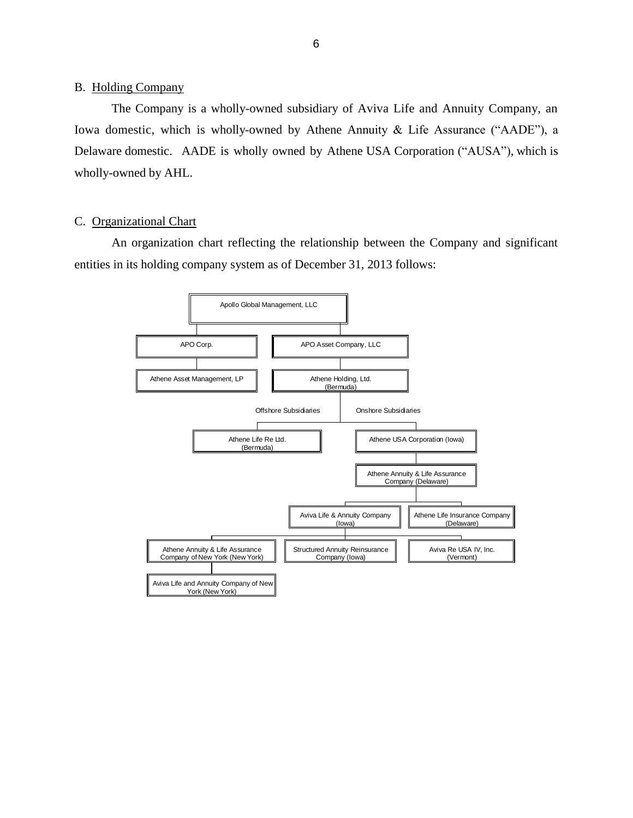#### <span id="page-8-0"></span>B. Holding Company

 Iowa domestic, which is wholly-owned by Athene Annuity & Life Assurance ("AADE"), a Delaware domestic. AADE is wholly owned by Athene USA Corporation ("AUSA"), which is wholly-owned by AHL. The Company is a wholly-owned subsidiary of Aviva Life and Annuity Company, an

#### C. Organizational Chart

 An organization chart reflecting the relationship between the Company and significant entities in its holding company system as of December 31, 2013 follows:

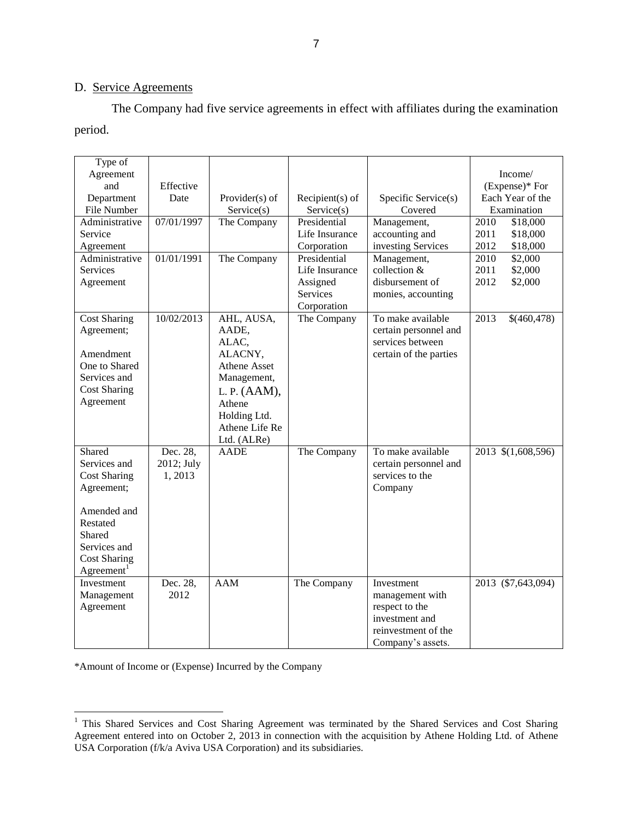# D. Service Agreements

The Company had five service agreements in effect with affiliates during the examination period.

| Type of<br>Agreement<br>and<br>Department<br>File Number<br>Administrative<br>Service<br>Agreement<br>Administrative<br><b>Services</b><br>Agreement              | Effective<br>Date<br>07/01/1997<br>01/01/1991 | Provider(s) of<br>Service(s)<br>The Company<br>The Company                                                                                               | $Recipient(s)$ of<br>Service(s)<br>Presidential<br>Life Insurance<br>Corporation<br>Presidential<br>Life Insurance<br>Assigned<br>Services<br>Corporation | Specific Service(s)<br>Covered<br>Management,<br>accounting and<br>investing Services<br>Management,<br>collection &<br>disbursement of<br>monies, accounting | Income/<br>(Expense)* For<br>Each Year of the<br>Examination<br>2010<br>\$18,000<br>2011<br>\$18,000<br>2012<br>\$18,000<br>2010<br>\$2,000<br>2011<br>\$2,000<br>2012<br>\$2,000 |
|-------------------------------------------------------------------------------------------------------------------------------------------------------------------|-----------------------------------------------|----------------------------------------------------------------------------------------------------------------------------------------------------------|-----------------------------------------------------------------------------------------------------------------------------------------------------------|---------------------------------------------------------------------------------------------------------------------------------------------------------------|-----------------------------------------------------------------------------------------------------------------------------------------------------------------------------------|
| <b>Cost Sharing</b><br>Agreement;<br>Amendment<br>One to Shared<br>Services and<br><b>Cost Sharing</b><br>Agreement                                               | 10/02/2013                                    | AHL, AUSA,<br>AADE,<br>ALAC,<br>ALACNY,<br><b>Athene Asset</b><br>Management,<br>L. P. (AAM),<br>Athene<br>Holding Ltd.<br>Athene Life Re<br>Ltd. (ALRe) | The Company                                                                                                                                               | To make available<br>certain personnel and<br>services between<br>certain of the parties                                                                      | 2013<br>\$(460,478)                                                                                                                                                               |
| Shared<br>Services and<br><b>Cost Sharing</b><br>Agreement;<br>Amended and<br>Restated<br>Shared<br>Services and<br><b>Cost Sharing</b><br>Agreement <sup>1</sup> | Dec. 28,<br>2012; July<br>1,2013<br>Dec. 28,  | <b>AADE</b><br><b>AAM</b>                                                                                                                                | The Company                                                                                                                                               | To make available<br>certain personnel and<br>services to the<br>Company                                                                                      | 2013 \$(1,608,596)                                                                                                                                                                |
| Investment<br>Management<br>Agreement                                                                                                                             | 2012                                          |                                                                                                                                                          | The Company                                                                                                                                               | Investment<br>management with<br>respect to the<br>investment and<br>reinvestment of the<br>Company's assets.                                                 | 2013 (\$7,643,094)                                                                                                                                                                |

\*Amount of Income or (Expense) Incurred by the Company

 $\overline{a}$ 

 USA Corporation (f/k/a Aviva USA Corporation) and its subsidiaries. <sup>1</sup> This Shared Services and Cost Sharing Agreement was terminated by the Shared Services and Cost Sharing Agreement entered into on October 2, 2013 in connection with the acquisition by Athene Holding Ltd. of Athene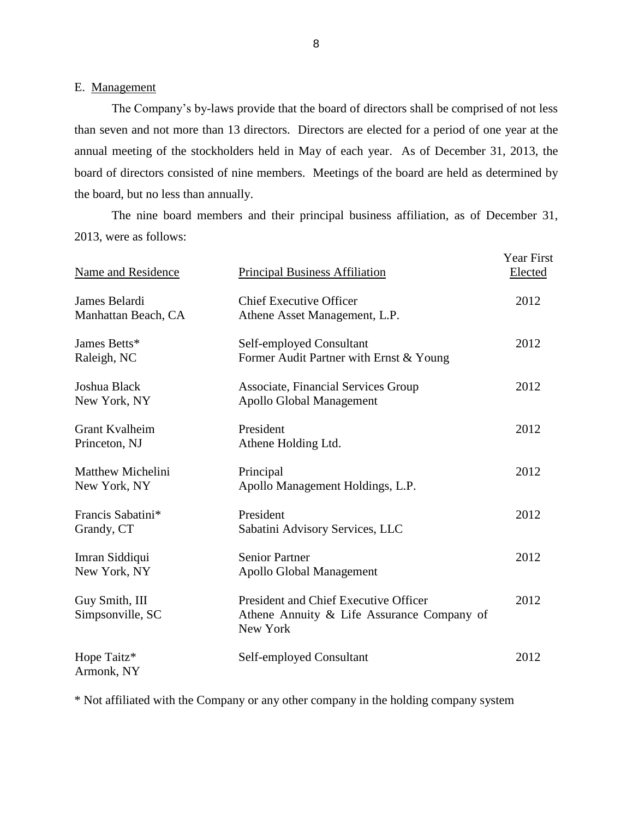# <span id="page-10-0"></span>E. Management

 The Company's by-laws provide that the board of directors shall be comprised of not less than seven and not more than 13 directors. Directors are elected for a period of one year at the annual meeting of the stockholders held in May of each year. As of December 31, 2013, the board of directors consisted of nine members. Meetings of the board are held as determined by the board, but no less than annually.

 2013, were as follows: The nine board members and their principal business affiliation, as of December 31,

| Name and Residence                       | <b>Principal Business Affiliation</b>                                                           | <b>Year First</b><br>Elected |
|------------------------------------------|-------------------------------------------------------------------------------------------------|------------------------------|
| James Belardi<br>Manhattan Beach, CA     | <b>Chief Executive Officer</b><br>Athene Asset Management, L.P.                                 | 2012                         |
| James Betts*<br>Raleigh, NC              | Self-employed Consultant<br>Former Audit Partner with Ernst & Young                             | 2012                         |
| Joshua Black<br>New York, NY             | Associate, Financial Services Group<br><b>Apollo Global Management</b>                          | 2012                         |
| Grant Kvalheim<br>Princeton, NJ          | President<br>Athene Holding Ltd.                                                                | 2012                         |
| <b>Matthew Michelini</b><br>New York, NY | Principal<br>Apollo Management Holdings, L.P.                                                   | 2012                         |
| Francis Sabatini*<br>Grandy, CT          | President<br>Sabatini Advisory Services, LLC                                                    | 2012                         |
| Imran Siddiqui<br>New York, NY           | <b>Senior Partner</b><br><b>Apollo Global Management</b>                                        | 2012                         |
| Guy Smith, III<br>Simpsonville, SC       | President and Chief Executive Officer<br>Athene Annuity & Life Assurance Company of<br>New York | 2012                         |
| Hope Taitz*<br>Armonk, NY                | Self-employed Consultant                                                                        | 2012                         |

\* Not affiliated with the Company or any other company in the holding company system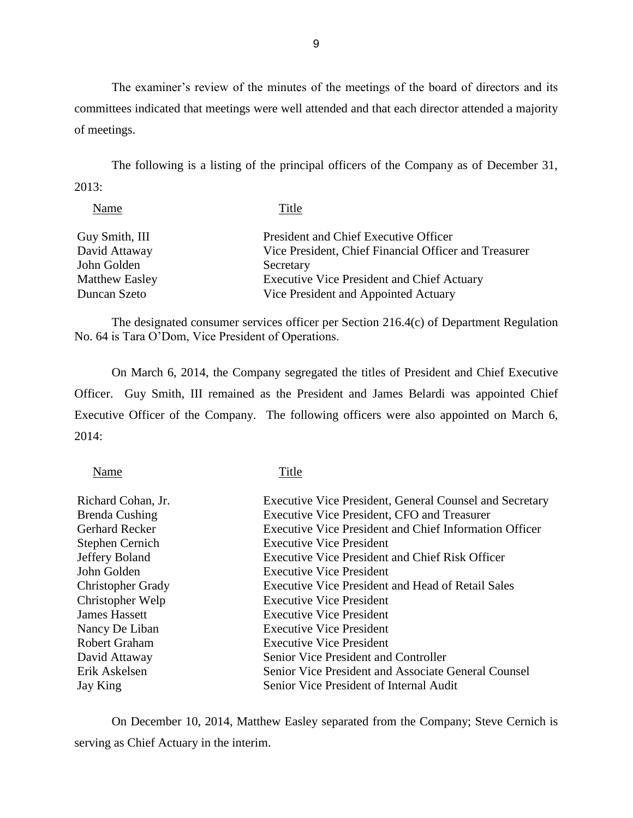The examiner's review of the minutes of the meetings of the board of directors and its committees indicated that meetings were well attended and that each director attended a majority of meetings.

The following is a listing of the principal officers of the Company as of December 31, 2013:

| Name                  | Title                                                 |
|-----------------------|-------------------------------------------------------|
| Guy Smith, III        | President and Chief Executive Officer                 |
| David Attaway         | Vice President, Chief Financial Officer and Treasurer |
| John Golden           | Secretary                                             |
| <b>Matthew Easley</b> | <b>Executive Vice President and Chief Actuary</b>     |
| Duncan Szeto          | Vice President and Appointed Actuary                  |

The designated consumer services officer per Section 216.4(c) of Department Regulation No. 64 is Tara O'Dom, Vice President of Operations.

 On March 6, 2014, the Company segregated the titles of President and Chief Executive Officer. Guy Smith, III remained as the President and James Belardi was appointed Chief Executive Officer of the Company. The following officers were also appointed on March 6, 2014:

 $T<sub>1</sub>$ 

| Name                     | Title                                                          |
|--------------------------|----------------------------------------------------------------|
| Richard Cohan, Jr.       | <b>Executive Vice President, General Counsel and Secretary</b> |
| Brenda Cushing           | <b>Executive Vice President, CFO and Treasurer</b>             |
| <b>Gerhard Recker</b>    | <b>Executive Vice President and Chief Information Officer</b>  |
| <b>Stephen Cernich</b>   | <b>Executive Vice President</b>                                |
| Jeffery Boland           | <b>Executive Vice President and Chief Risk Officer</b>         |
| John Golden              | <b>Executive Vice President</b>                                |
| <b>Christopher Grady</b> | Executive Vice President and Head of Retail Sales              |
| Christopher Welp         | <b>Executive Vice President</b>                                |
| <b>James Hassett</b>     | <b>Executive Vice President</b>                                |
| Nancy De Liban           | <b>Executive Vice President</b>                                |
| <b>Robert Graham</b>     | <b>Executive Vice President</b>                                |
| David Attaway            | Senior Vice President and Controller                           |
| Erik Askelsen            | Senior Vice President and Associate General Counsel            |
| Jay King                 | Senior Vice President of Internal Audit                        |

 On December 10, 2014, Matthew Easley separated from the Company; Steve Cernich is serving as Chief Actuary in the interim.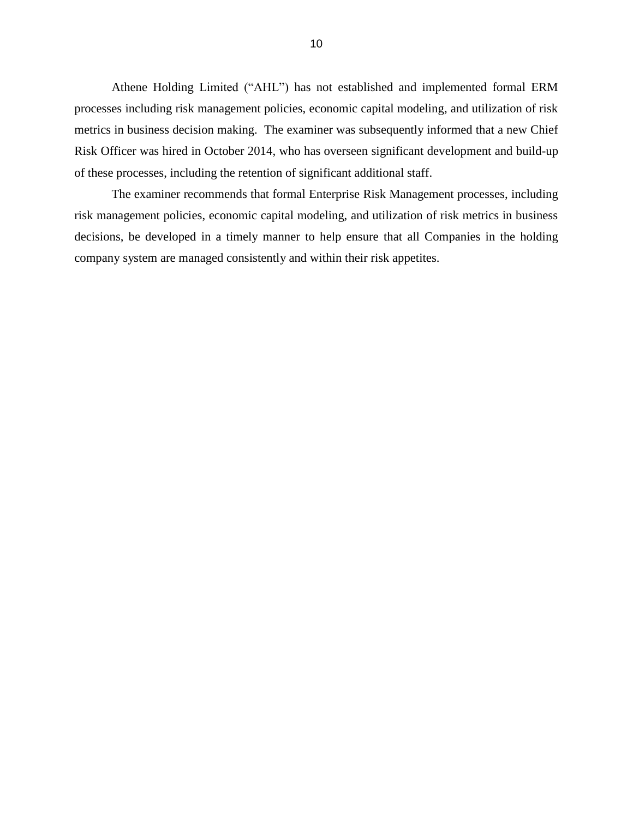Athene Holding Limited ("AHL") has not established and implemented formal ERM processes including risk management policies, economic capital modeling, and utilization of risk metrics in business decision making. The examiner was subsequently informed that a new Chief Risk Officer was hired in October 2014, who has overseen significant development and build-up of these processes, including the retention of significant additional staff.

 decisions, be developed in a timely manner to help ensure that all Companies in the holding company system are managed consistently and within their risk appetites. The examiner recommends that formal Enterprise Risk Management processes, including risk management policies, economic capital modeling, and utilization of risk metrics in business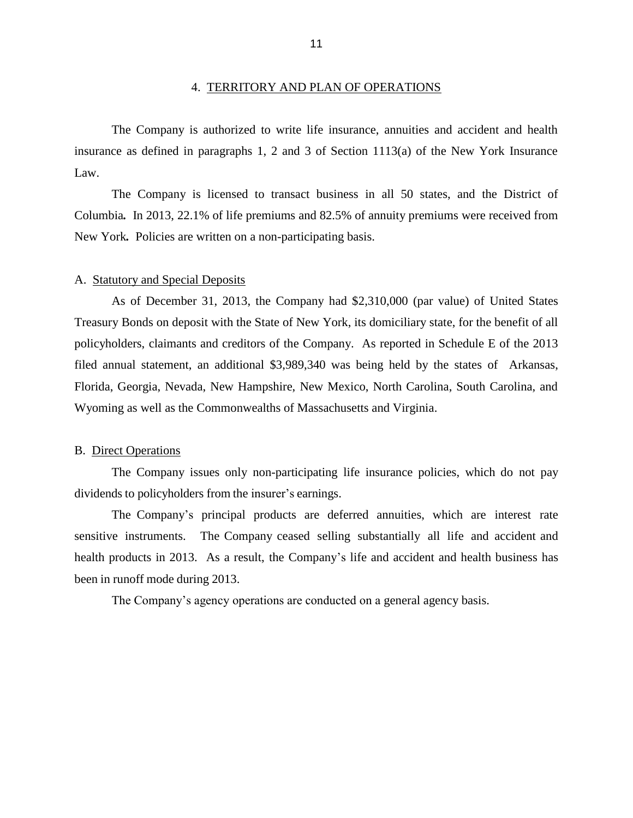#### 4. TERRITORY AND PLAN OF OPERATIONS

<span id="page-13-0"></span> insurance as defined in paragraphs 1, 2 and 3 of Section 1113(a) of the New York Insurance The Company is authorized to write life insurance, annuities and accident and health Law.

 Columbia*.* In 2013, 22.1% of life premiums and 82.5% of annuity premiums were received from New York*.* Policies are written on a non-participating basis. The Company is licensed to transact business in all 50 states, and the District of

#### A. Statutory and Special Deposits

 As of December 31, 2013, the Company had \$2,310,000 (par value) of United States Treasury Bonds on deposit with the State of New York, its domiciliary state, for the benefit of all policyholders, claimants and creditors of the Company. As reported in Schedule E of the 2013 filed annual statement, an additional \$3,989,340 was being held by the states of Arkansas, Florida, Georgia, Nevada, New Hampshire, New Mexico, North Carolina, South Carolina, and Wyoming as well as the Commonwealths of Massachusetts and Virginia.

#### B. Direct Operations

 dividends to policyholders from the insurer's earnings. The Company issues only non-participating life insurance policies, which do not pay

 sensitive instruments. The Company ceased selling substantially all life and accident and health products in 2013. As a result, the Company's life and accident and health business has been in runoff mode during 2013. The Company's principal products are deferred annuities, which are interest rate

The Company's agency operations are conducted on a general agency basis.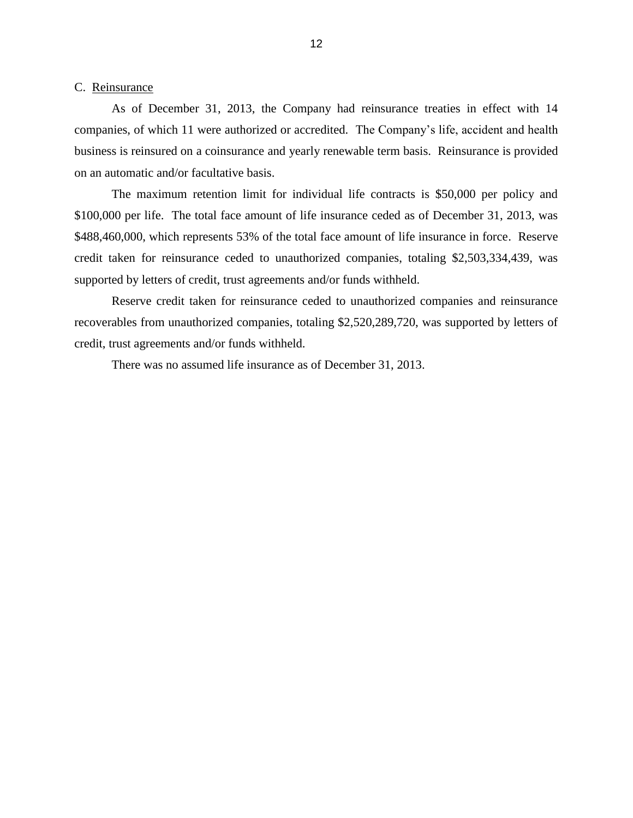#### <span id="page-14-0"></span>C. Reinsurance

 As of December 31, 2013, the Company had reinsurance treaties in effect with 14 companies, of which 11 were authorized or accredited. The Company's life, accident and health business is reinsured on a coinsurance and yearly renewable term basis. Reinsurance is provided on an automatic and/or facultative basis.

 \$100,000 per life. The total face amount of life insurance ceded as of December 31, 2013, was \$488,460,000, which represents 53% of the total face amount of life insurance in force. Reserve credit taken for reinsurance ceded to unauthorized companies, totaling \$2,503,334,439, was The maximum retention limit for individual life contracts is \$50,000 per policy and supported by letters of credit, trust agreements and/or funds withheld.

 Reserve credit taken for reinsurance ceded to unauthorized companies and reinsurance recoverables from unauthorized companies, totaling \$2,520,289,720, was supported by letters of credit, trust agreements and/or funds withheld.

There was no assumed life insurance as of December 31, 2013.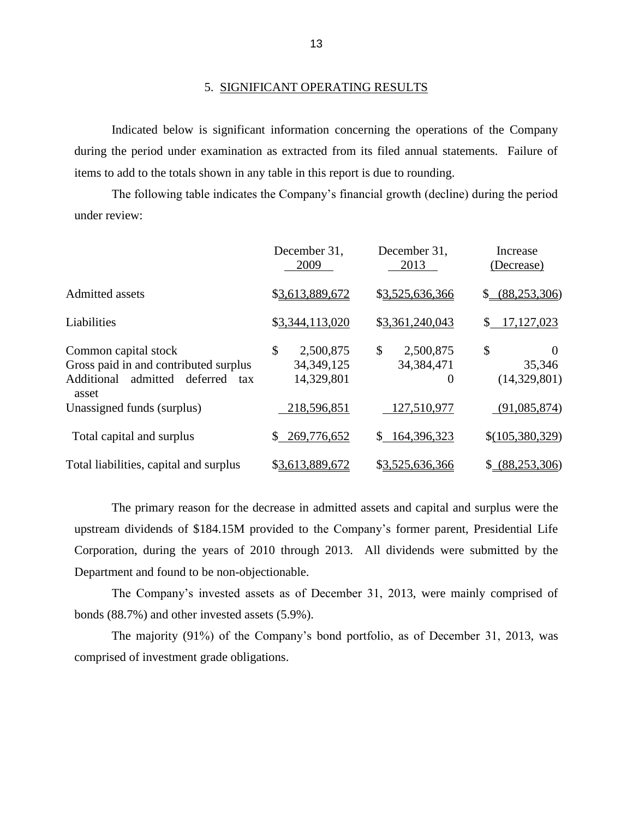#### 5. SIGNIFICANT OPERATING RESULTS

 during the period under examination as extracted from its filed annual statements. Failure of Indicated below is significant information concerning the operations of the Company items to add to the totals shown in any table in this report is due to rounding.

 The following table indicates the Company's financial growth (decline) during the period under review:

|                                                                                                            | December 31,<br>2009                          | December 31,<br>2013                        | Increase<br>(Decrease)                   |
|------------------------------------------------------------------------------------------------------------|-----------------------------------------------|---------------------------------------------|------------------------------------------|
| Admitted assets                                                                                            | \$3,613,889,672                               | \$3,525,636,366                             | (88, 253, 306)<br>$\mathbb{S}$           |
| Liabilities                                                                                                | \$3,344,113,020                               | \$3,361,240,043                             | 17,127,023                               |
| Common capital stock<br>Gross paid in and contributed surplus<br>admitted<br>deferred<br>Additional<br>tax | \$<br>2,500,875<br>34, 349, 125<br>14,329,801 | \$<br>2,500,875<br>34, 384, 471<br>$\Omega$ | \$<br>$\theta$<br>35,346<br>(14,329,801) |
| asset<br>Unassigned funds (surplus)                                                                        | 218,596,851                                   | 127,510,977                                 | (91,085,874)                             |
| Total capital and surplus                                                                                  | 269,776,652<br>S.                             | \$164,396,323                               | \$(105,380,329)                          |
| Total liabilities, capital and surplus                                                                     | \$3,613,889,672                               | \$3,525,636,366                             | (88, 253, 306)<br>\$                     |

 upstream dividends of \$184.15M provided to the Company's former parent, Presidential Life Corporation, during the years of 2010 through 2013. All dividends were submitted by the The primary reason for the decrease in admitted assets and capital and surplus were the Department and found to be non-objectionable.

 The Company's invested assets as of December 31, 2013, were mainly comprised of bonds (88.7%) and other invested assets (5.9%).

The majority (91%) of the Company's bond portfolio, as of December 31, 2013, was comprised of investment grade obligations.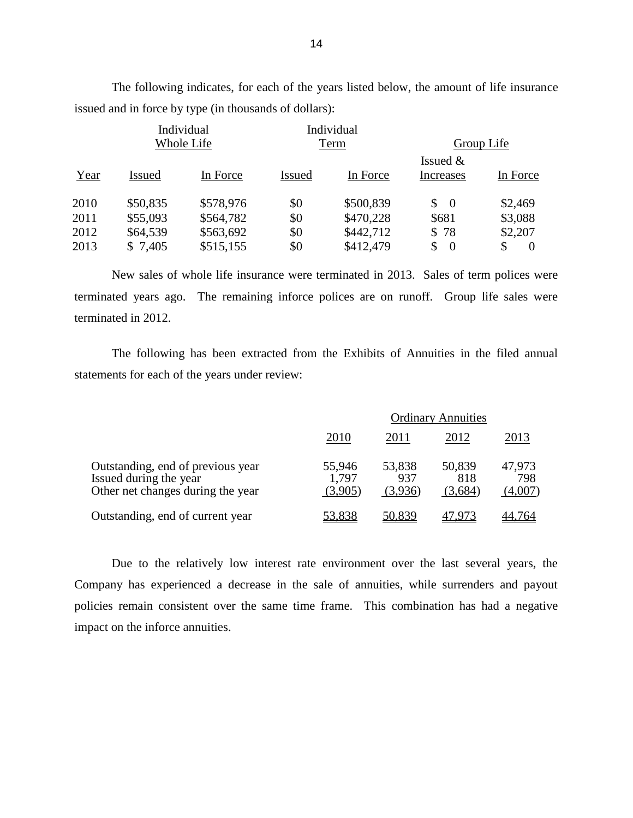|      | Individual<br>Individual<br>Whole Life<br>Term |           | Group Life    |           |                      |                |
|------|------------------------------------------------|-----------|---------------|-----------|----------------------|----------------|
|      |                                                |           |               |           | Issued $&$           |                |
| Year | <b>Issued</b>                                  | In Force  | <b>Issued</b> | In Force  | Increases            | In Force       |
| 2010 | \$50,835                                       | \$578,976 | \$0           | \$500,839 | \$<br>- 0            | \$2,469        |
| 2011 | \$55,093                                       | \$564,782 | \$0           | \$470,228 | \$681                | \$3,088        |
| 2012 | \$64,539                                       | \$563,692 | \$0           | \$442,712 | \$78                 | \$2,207        |
| 2013 | \$7,405                                        | \$515,155 | \$0           | \$412,479 | \$<br>$\overline{0}$ | \$<br>$\theta$ |

The following indicates, for each of the years listed below, the amount of life insurance issued and in force by type (in thousands of dollars):

 New sales of whole life insurance were terminated in 2013. Sales of term polices were terminated years ago. The remaining inforce polices are on runoff. Group life sales were terminated in 2012.

The following has been extracted from the Exhibits of Annuities in the filed annual statements for each of the years under review:

|                                                                                                  | <b>Ordinary Annuities</b>  |                          |                          |                          |
|--------------------------------------------------------------------------------------------------|----------------------------|--------------------------|--------------------------|--------------------------|
|                                                                                                  | 2010                       | 2011                     | 2012                     | 2013                     |
| Outstanding, end of previous year<br>Issued during the year<br>Other net changes during the year | 55,946<br>1,797<br>(3,905) | 53,838<br>937<br>(3,936) | 50,839<br>818<br>(3,684) | 47,973<br>798<br>(4,007) |
| Outstanding, end of current year                                                                 | 53,838                     | 50,839                   |                          | 14.764                   |

 Company has experienced a decrease in the sale of annuities, while surrenders and payout policies remain consistent over the same time frame. This combination has had a negative Due to the relatively low interest rate environment over the last several years, the impact on the inforce annuities.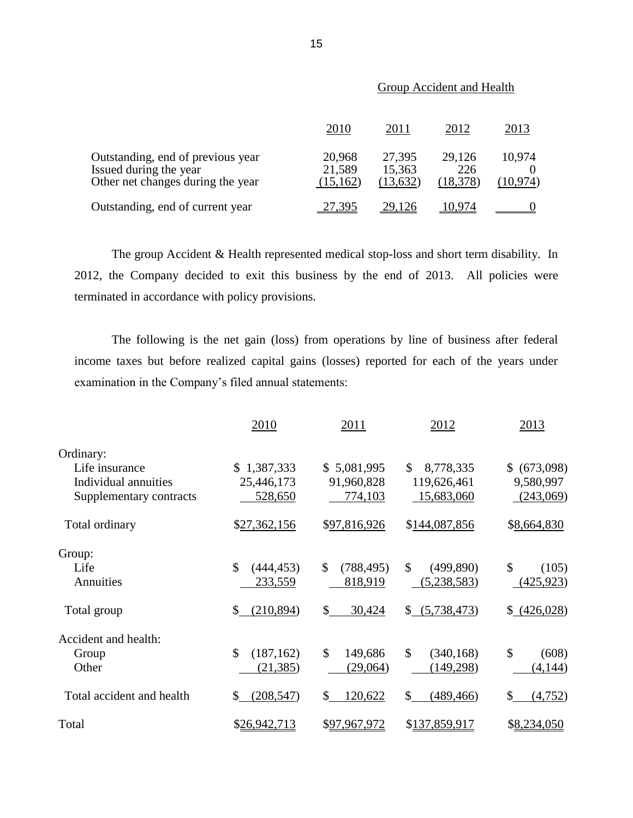|                                                                                                  | 2010                          | 2011                          | 2012                       | 2013                |
|--------------------------------------------------------------------------------------------------|-------------------------------|-------------------------------|----------------------------|---------------------|
| Outstanding, end of previous year<br>Issued during the year<br>Other net changes during the year | 20,968<br>21,589<br>(15, 162) | 27,395<br>15,363<br>(13, 632) | 29,126<br>226<br>(18, 378) | 10,974<br>(10, 974) |
| Outstanding, end of current year                                                                 | 27,395                        | 29.126                        | 10.974                     |                     |

# Group Accident and Health

 2012, the Company decided to exit this business by the end of 2013. All policies were The group Accident & Health represented medical stop-loss and short term disability. In terminated in accordance with policy provisions.

The following is the net gain (loss) from operations by line of business after federal income taxes but before realized capital gains (losses) reported for each of the years under examination in the Company's filed annual statements:

|                           | 2010                        | 2011                        | 2012                       | 2013                   |
|---------------------------|-----------------------------|-----------------------------|----------------------------|------------------------|
| Ordinary:                 |                             |                             |                            |                        |
| Life insurance            | \$1,387,333                 | \$5,081,995                 | \$.<br>8,778,335           | \$ (673,098)           |
| Individual annuities      | 25,446,173                  | 91,960,828                  | 119,626,461                | 9,580,997              |
| Supplementary contracts   | 528,650                     | 774,103                     | 15,683,060                 | (243,069)              |
| Total ordinary            | \$27,362,156                | \$97,816,926                | \$144,087,856              | \$8,664,830            |
| Group:                    |                             |                             |                            |                        |
| Life                      | $\mathcal{S}$<br>(444, 453) | $\mathcal{S}$<br>(788, 495) | $\mathbb{S}$<br>(499, 890) | \$<br>(105)            |
| Annuities                 | 233,559                     | 818,919                     | (5,238,583)                | (425, 923)             |
| Total group               | $\mathcal{S}$<br>(210, 894) | \$<br>30,424                | (5,738,473)<br>\$          | \$ (426,028)           |
| Accident and health:      |                             |                             |                            |                        |
| Group                     | \$<br>(187, 162)            | \$<br>149,686               | \$<br>(340, 168)           | $\mathcal{S}$<br>(608) |
| Other                     | (21, 385)                   | (29,064)                    | (149,298)                  | (4,144)                |
| Total accident and health | (208, 547)<br>\$            | 120,622<br>\$               | \$<br>(489, 466)           | \$<br>(4, 752)         |
| Total                     | \$26,942,713                | \$97,967,972                | \$137,859,917              | \$8,234,050            |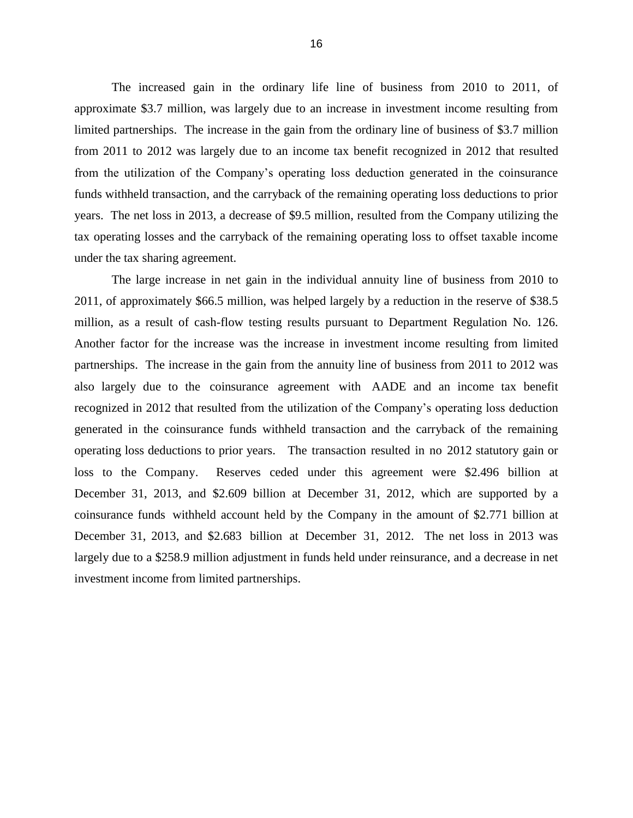approximate \$3.7 million, was largely due to an increase in investment income resulting from limited partnerships. The increase in the gain from the ordinary line of business of \$3.7 million from 2011 to 2012 was largely due to an income tax benefit recognized in 2012 that resulted funds withheld transaction, and the carryback of the remaining operating loss deductions to prior years. The net loss in 2013, a decrease of \$9.5 million, resulted from the Company utilizing the tax operating losses and the carryback of the remaining operating loss to offset taxable income under the tax sharing agreement. The increased gain in the ordinary life line of business from 2010 to 2011, of from the utilization of the Company's operating loss deduction generated in the coinsurance

 2011, of approximately \$66.5 million, was helped largely by a reduction in the reserve of \$38.5 million, as a result of cash-flow testing results pursuant to Department Regulation No. 126. Another factor for the increase was the increase in investment income resulting from limited partnerships. The increase in the gain from the annuity line of business from 2011 to 2012 was also largely due to the coinsurance agreement with AADE and an income tax benefit recognized in 2012 that resulted from the utilization of the Company's operating loss deduction operating loss deductions to prior years. The transaction resulted in no 2012 statutory gain or loss to the Company. December 31, 2013, and \$2.609 billion at December 31, 2012, which are supported by a coinsurance funds withheld account held by the Company in the amount of \$2.771 billion at December 31, 2013, and \$2.683 billion at December 31, 2012. The net loss in 2013 was largely due to a \$258.9 million adjustment in funds held under reinsurance, and a decrease in net The large increase in net gain in the individual annuity line of business from 2010 to generated in the coinsurance funds withheld transaction and the carryback of the remaining Reserves ceded under this agreement were \$2.496 billion at investment income from limited partnerships.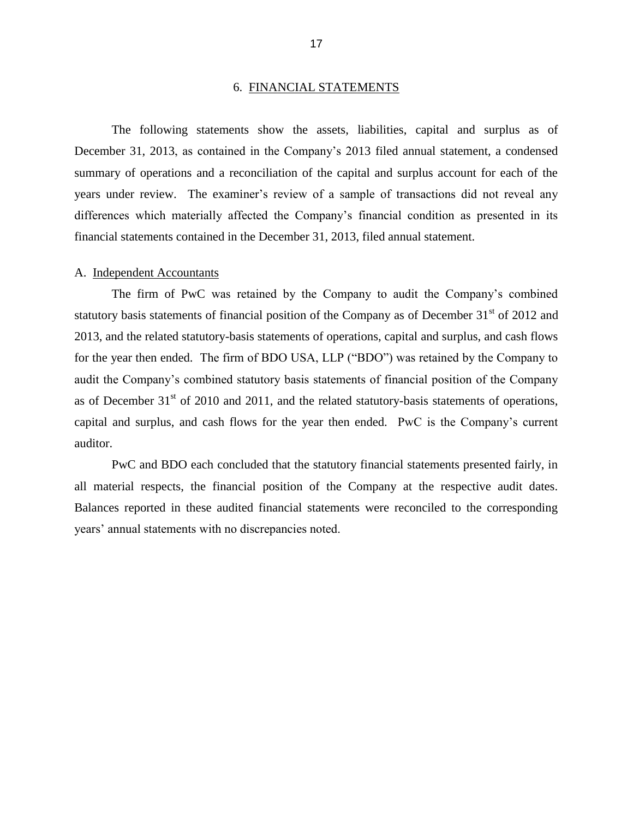#### 6. FINANCIAL STATEMENTS

<span id="page-19-0"></span> December 31, 2013, as contained in the Company's 2013 filed annual statement, a condensed summary of operations and a reconciliation of the capital and surplus account for each of the years under review. The examiner's review of a sample of transactions did not reveal any The following statements show the assets, liabilities, capital and surplus as of differences which materially affected the Company's financial condition as presented in its financial statements contained in the December 31, 2013, filed annual statement.

#### A. Independent Accountants

statutory basis statements of financial position of the Company as of December 31<sup>st</sup> of 2012 and for the year then ended. The firm of BDO USA, LLP ("BDO") was retained by the Company to audit the Company's combined statutory basis statements of financial position of the Company as of December  $31<sup>st</sup>$  of 2010 and 2011, and the related statutory-basis statements of operations, The firm of PwC was retained by the Company to audit the Company's combined 2013, and the related statutory-basis statements of operations, capital and surplus, and cash flows capital and surplus, and cash flows for the year then ended. PwC is the Company's current auditor.

 all material respects, the financial position of the Company at the respective audit dates. PwC and BDO each concluded that the statutory financial statements presented fairly, in Balances reported in these audited financial statements were reconciled to the corresponding years' annual statements with no discrepancies noted.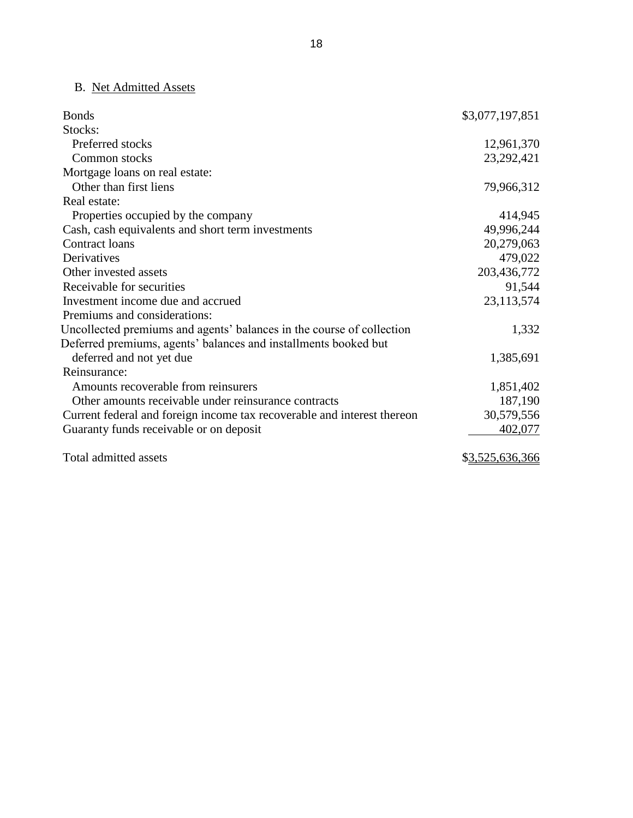# B. Net Admitted Assets

| <b>Bonds</b>                                                            | \$3,077,197,851 |
|-------------------------------------------------------------------------|-----------------|
| Stocks:                                                                 |                 |
| Preferred stocks                                                        | 12,961,370      |
| Common stocks                                                           | 23, 292, 421    |
| Mortgage loans on real estate:                                          |                 |
| Other than first liens                                                  | 79,966,312      |
| Real estate:                                                            |                 |
| Properties occupied by the company                                      | 414,945         |
| Cash, cash equivalents and short term investments                       | 49,996,244      |
| Contract loans                                                          | 20,279,063      |
| Derivatives                                                             | 479,022         |
| Other invested assets                                                   | 203,436,772     |
| Receivable for securities                                               | 91,544          |
| Investment income due and accrued                                       | 23,113,574      |
| Premiums and considerations:                                            |                 |
| Uncollected premiums and agents' balances in the course of collection   | 1,332           |
| Deferred premiums, agents' balances and installments booked but         |                 |
| deferred and not yet due                                                | 1,385,691       |
| Reinsurance:                                                            |                 |
| Amounts recoverable from reinsurers                                     | 1,851,402       |
| Other amounts receivable under reinsurance contracts                    | 187,190         |
| Current federal and foreign income tax recoverable and interest thereon | 30,579,556      |
| Guaranty funds receivable or on deposit                                 | 402,077         |
| Total admitted assets                                                   | \$3,525,636,366 |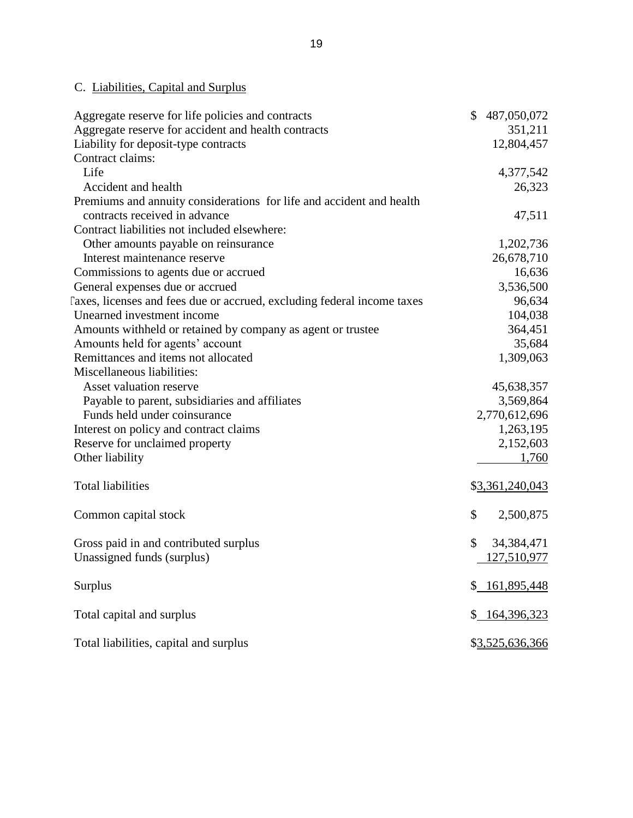# C. Liabilities, Capital and Surplus

| Aggregate reserve for life policies and contracts                       | \$<br>487,050,072  |
|-------------------------------------------------------------------------|--------------------|
| Aggregate reserve for accident and health contracts                     | 351,211            |
| Liability for deposit-type contracts                                    | 12,804,457         |
| Contract claims:                                                        |                    |
| Life                                                                    | 4,377,542          |
| Accident and health                                                     | 26,323             |
| Premiums and annuity considerations for life and accident and health    |                    |
| contracts received in advance                                           | 47,511             |
| Contract liabilities not included elsewhere:                            |                    |
| Other amounts payable on reinsurance                                    | 1,202,736          |
| Interest maintenance reserve                                            | 26,678,710         |
| Commissions to agents due or accrued                                    | 16,636             |
| General expenses due or accrued                                         | 3,536,500          |
| Taxes, licenses and fees due or accrued, excluding federal income taxes | 96,634             |
| Unearned investment income                                              | 104,038            |
| Amounts withheld or retained by company as agent or trustee             | 364,451            |
| Amounts held for agents' account                                        | 35,684             |
| Remittances and items not allocated                                     | 1,309,063          |
| Miscellaneous liabilities:                                              |                    |
| Asset valuation reserve                                                 | 45,638,357         |
| Payable to parent, subsidiaries and affiliates                          | 3,569,864          |
| Funds held under coinsurance                                            | 2,770,612,696      |
| Interest on policy and contract claims                                  | 1,263,195          |
| Reserve for unclaimed property                                          | 2,152,603          |
| Other liability                                                         | 1,760              |
|                                                                         |                    |
| <b>Total liabilities</b>                                                | \$3,361,240,043    |
| Common capital stock                                                    | \$<br>2,500,875    |
| Gross paid in and contributed surplus                                   | \$<br>34, 384, 471 |
| Unassigned funds (surplus)                                              | 127,510,977        |
|                                                                         |                    |
| <b>Surplus</b>                                                          | 161,895,448        |
| Total capital and surplus                                               | \$ 164,396,323     |
|                                                                         |                    |
| Total liabilities, capital and surplus                                  | \$3,525,636,366    |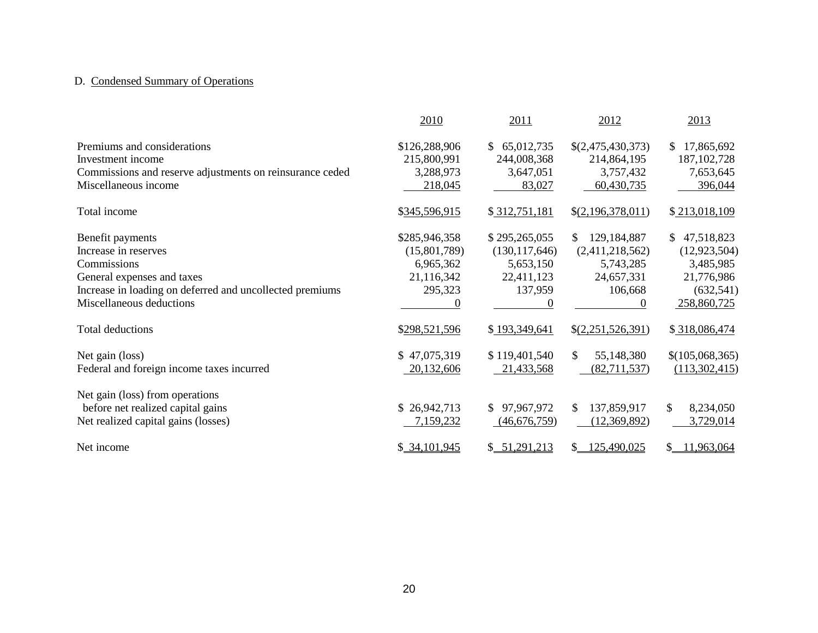# D. Condensed Summary of Operations

|                                                                                                                                                                                                          | 2010                                                                                 | 2011                                                                                    | 2012                                                                                                        | 2013                                                                                                        |
|----------------------------------------------------------------------------------------------------------------------------------------------------------------------------------------------------------|--------------------------------------------------------------------------------------|-----------------------------------------------------------------------------------------|-------------------------------------------------------------------------------------------------------------|-------------------------------------------------------------------------------------------------------------|
| Premiums and considerations<br>Investment income<br>Commissions and reserve adjustments on reinsurance ceded<br>Miscellaneous income                                                                     | \$126,288,906<br>215,800,991<br>3,288,973<br>218,045                                 | 65,012,735<br>S.<br>244,008,368<br>3,647,051<br>83,027                                  | \$(2,475,430,373)<br>214,864,195<br>3,757,432<br>60,430,735                                                 | 17,865,692<br>S.<br>187, 102, 728<br>7,653,645<br>396,044                                                   |
| Total income                                                                                                                                                                                             | \$345,596,915                                                                        | \$312,751,181                                                                           | \$(2,196,378,011)                                                                                           | \$213,018,109                                                                                               |
| Benefit payments<br>Increase in reserves<br>Commissions<br>General expenses and taxes<br>Increase in loading on deferred and uncollected premiums<br>Miscellaneous deductions<br><b>Total deductions</b> | \$285,946,358<br>(15,801,789)<br>6,965,362<br>21,116,342<br>295,323<br>\$298,521,596 | \$295,265,055<br>(130, 117, 646)<br>5,653,150<br>22,411,123<br>137,959<br>\$193,349,641 | 129,184,887<br>S.<br>(2,411,218,562)<br>5,743,285<br>24,657,331<br>106,668<br>$\Omega$<br>\$(2,251,526,391) | 47,518,823<br>\$<br>(12, 923, 504)<br>3,485,985<br>21,776,986<br>(632, 541)<br>258,860,725<br>\$318,086,474 |
| Net gain (loss)<br>Federal and foreign income taxes incurred                                                                                                                                             | \$47,075,319<br>20,132,606                                                           | \$119,401,540<br>21,433,568                                                             | 55,148,380<br>\$<br>(82,711,537)                                                                            | \$(105,068,365)<br>(113,302,415)                                                                            |
| Net gain (loss) from operations<br>before net realized capital gains<br>Net realized capital gains (losses)                                                                                              | \$26,942,713<br>7,159,232                                                            | 97,967,972<br><sup>\$</sup><br>(46,676,759)                                             | 137,859,917<br>\$<br>(12,369,892)                                                                           | 8,234,050<br>\$<br>3,729,014                                                                                |
| Net income                                                                                                                                                                                               | \$34,101,945                                                                         | \$ 51,291,213                                                                           | 125,490,025<br>S.                                                                                           | 11,963,064<br>S.                                                                                            |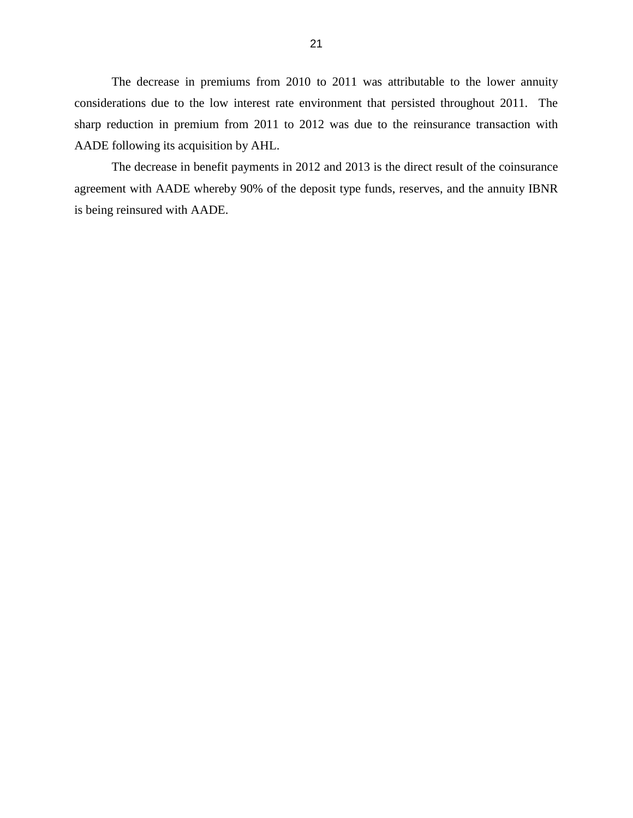considerations due to the low interest rate environment that persisted throughout 2011. The sharp reduction in premium from 2011 to 2012 was due to the reinsurance transaction with The decrease in premiums from 2010 to 2011 was attributable to the lower annuity AADE following its acquisition by AHL.

 agreement with AADE whereby 90% of the deposit type funds, reserves, and the annuity IBNR The decrease in benefit payments in 2012 and 2013 is the direct result of the coinsurance is being reinsured with AADE.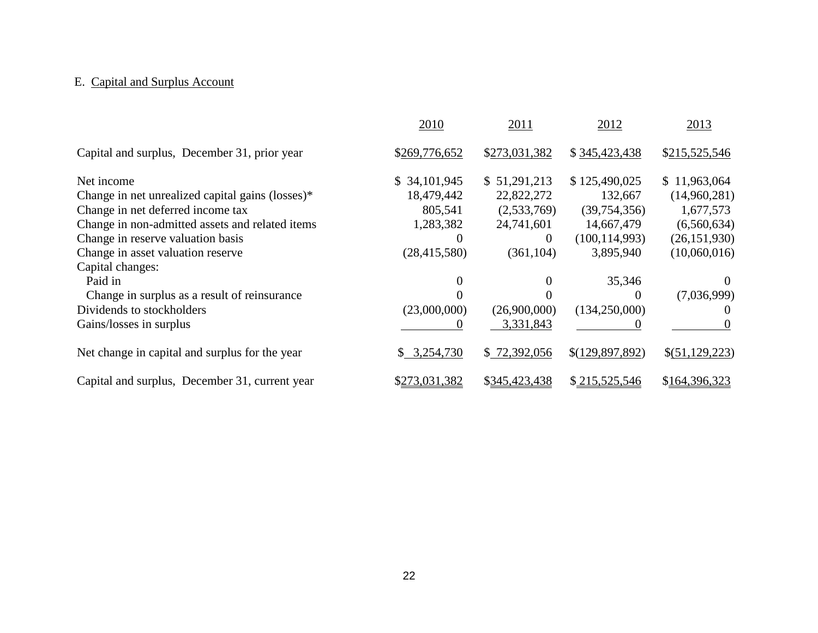#### E. Capital and Surplus Account

|                                                  | 2010           | 2011          | 2012            | 2013           |
|--------------------------------------------------|----------------|---------------|-----------------|----------------|
| Capital and surplus, December 31, prior year     | \$269,776,652  | \$273,031,382 | \$345,423,438   | \$215,525,546  |
| Net income                                       | \$34,101,945   | \$51,291,213  | \$125,490,025   | \$11,963,064   |
| Change in net unrealized capital gains (losses)* | 18,479,442     | 22,822,272    | 132,667         | (14,960,281)   |
| Change in net deferred income tax                | 805,541        | (2,533,769)   | (39,754,356)    | 1,677,573      |
| Change in non-admitted assets and related items  | 1,283,382      | 24,741,601    | 14,667,479      | (6,560,634)    |
| Change in reserve valuation basis                |                | $\theta$      | (100, 114, 993) | (26, 151, 930) |
| Change in asset valuation reserve                | (28, 415, 580) | (361, 104)    | 3,895,940       | (10,060,016)   |
| Capital changes:                                 |                |               |                 |                |
| Paid in                                          |                | 0             | 35,346          | $\theta$       |
| Change in surplus as a result of reinsurance     |                |               | $\Omega$        | (7,036,999)    |
| Dividends to stockholders                        | (23,000,000)   | (26,900,000)  | (134,250,000)   |                |
| Gains/losses in surplus                          |                | 3,331,843     |                 |                |
| Net change in capital and surplus for the year   | 3,254,730      | \$72,392,056  | \$(129,897,892) | \$(51,129,223) |
| Capital and surplus, December 31, current year   | \$273,031,382  | \$345,423,438 | \$215,525,546   | \$164,396,323  |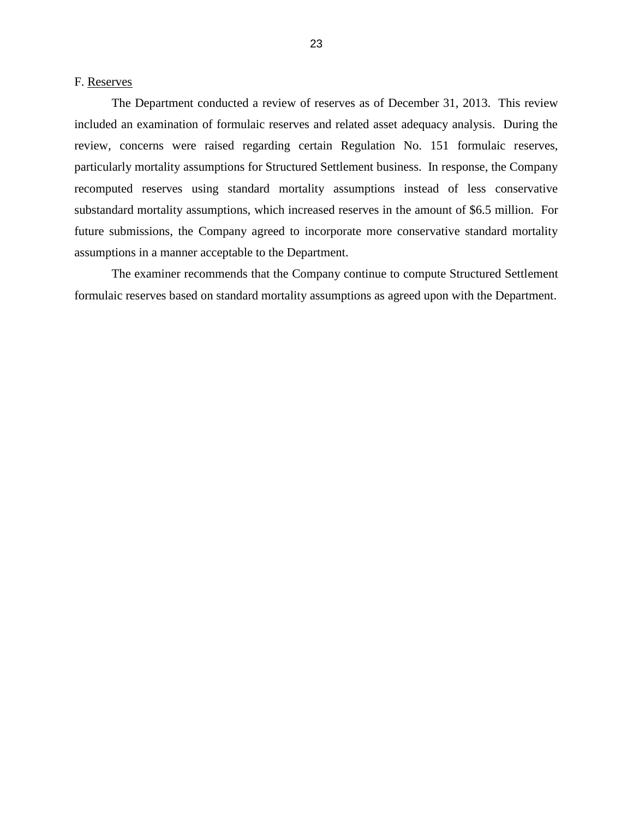<span id="page-25-0"></span>F. Reserves

 The Department conducted a review of reserves as of December 31, 2013. This review included an examination of formulaic reserves and related asset adequacy analysis. During the particularly mortality assumptions for Structured Settlement business. In response, the Company substandard mortality assumptions, which increased reserves in the amount of \$6.5 million. For review, concerns were raised regarding certain Regulation No. 151 formulaic reserves, recomputed reserves using standard mortality assumptions instead of less conservative future submissions, the Company agreed to incorporate more conservative standard mortality assumptions in a manner acceptable to the Department.

 The examiner recommends that the Company continue to compute Structured Settlement formulaic reserves based on standard mortality assumptions as agreed upon with the Department.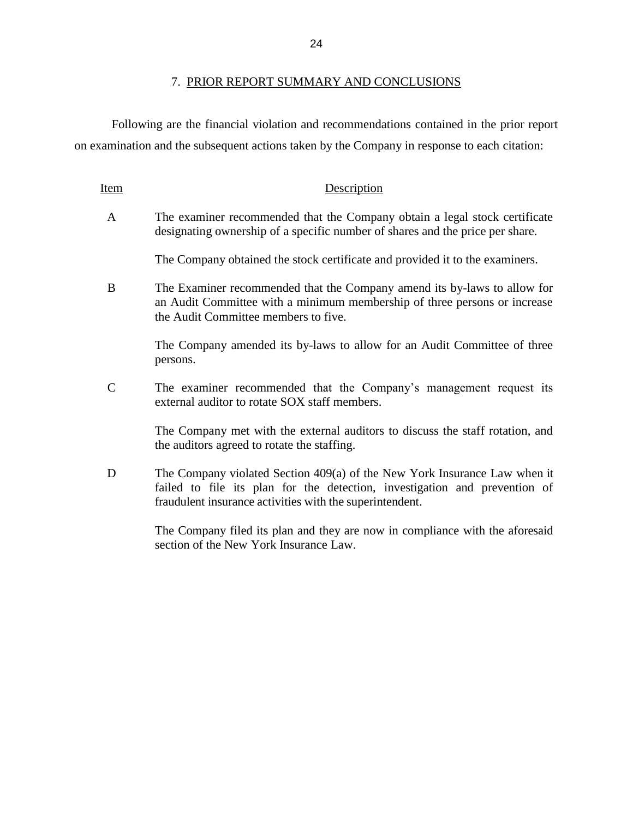Following are the financial violation and recommendations contained in the prior report on examination and the subsequent actions taken by the Company in response to each citation:

| Item          | Description                                                                                                                                                                                   |
|---------------|-----------------------------------------------------------------------------------------------------------------------------------------------------------------------------------------------|
| A             | The examiner recommended that the Company obtain a legal stock certificate<br>designating ownership of a specific number of shares and the price per share.                                   |
|               | The Company obtained the stock certificate and provided it to the examiners.                                                                                                                  |
| B             | The Examiner recommended that the Company amend its by-laws to allow for<br>an Audit Committee with a minimum membership of three persons or increase<br>the Audit Committee members to five. |
|               | The Company amended its by-laws to allow for an Audit Committee of three<br>persons.                                                                                                          |
| $\mathcal{C}$ | The examiner recommended that the Company's management request its<br>external auditor to rotate SOX staff members.                                                                           |
|               | The Company met with the external auditors to discuss the staff rotation, and                                                                                                                 |

the auditors agreed to rotate the staffing. D The Company violated Section 409(a) of the New York Insurance Law when it

failed to file its plan for the detection, investigation and prevention of fraudulent insurance activities with the superintendent.

> The Company filed its plan and they are now in compliance with the aforesaid section of the New York Insurance Law.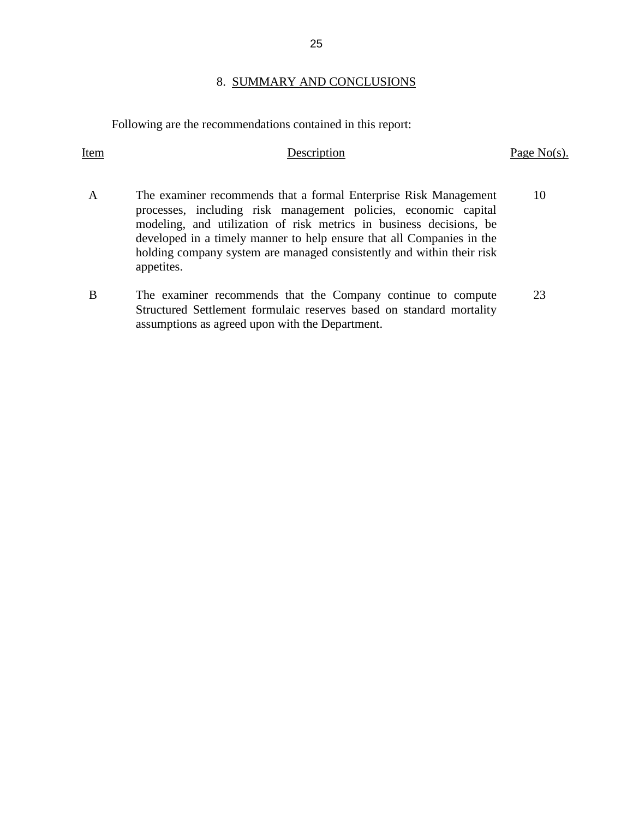#### 8. SUMMARY AND CONCLUSIONS

Following are the recommendations contained in this report:

#### Item Description Page No(s).

- processes, including risk management policies, economic capital developed in a timely manner to help ensure that all Companies in the holding company system are managed consistently and within their risk A The examiner recommends that a formal Enterprise Risk Management modeling, and utilization of risk metrics in business decisions, be appetites. 10
- B The examiner recommends that the Company continue to compute Structured Settlement formulaic reserves based on standard mortality assumptions as agreed upon with the Department. 23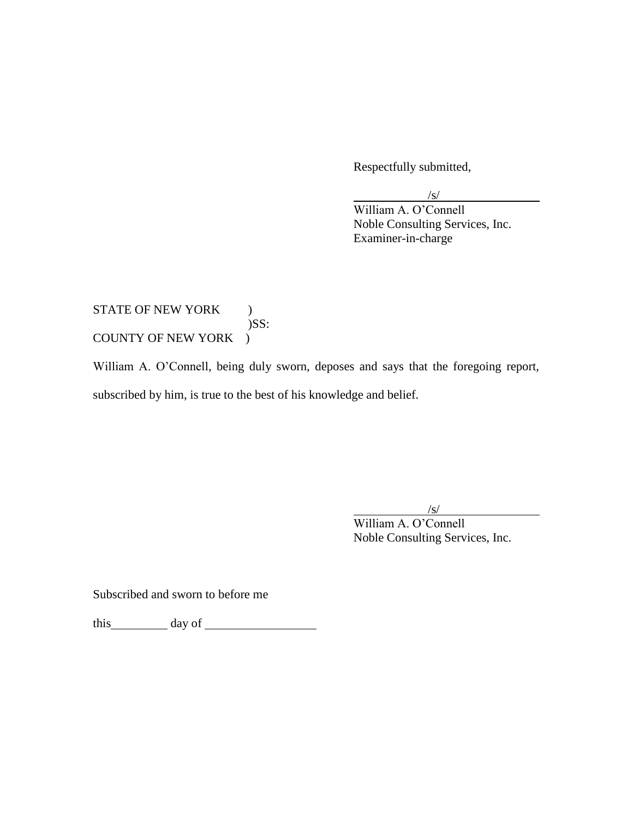Respectfully submitted,

/s/

William A. O'Connell Noble Consulting Services, Inc. Examiner-in-charge

# COUNTY OF NEW YORK ) STATE OF NEW YORK ) )SS:

COUNTY OF NEW YORK )<br>William A. O'Connell, being duly sworn, deposes and says that the foregoing report, subscribed by him, is true to the best of his knowledge and belief.

/s/

William A. O'Connell Noble Consulting Services, Inc.

Subscribed and sworn to before me

this day of